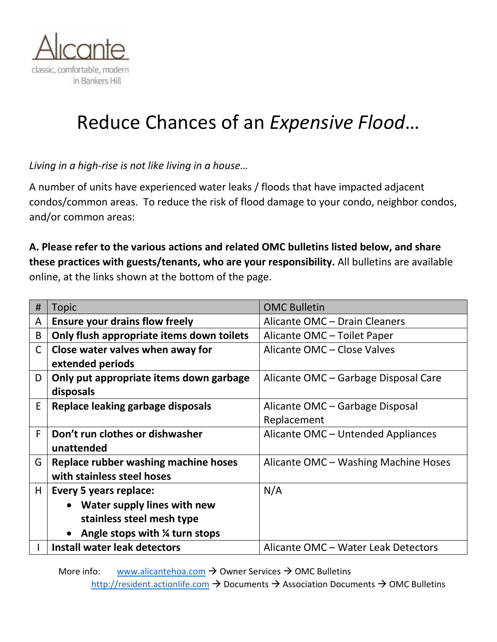

# Reduce Chances of an *Expensive Flood*…

*Living in a high-rise is not like living in a house…* 

A number of units have experienced water leaks / floods that have impacted adjacent condos/common areas. To reduce the risk of flood damage to your condo, neighbor condos, and/or common areas:

# **A. Please refer to the various actions and related OMC bulletins listed below, and share these practices with guests/tenants, who are your responsibility.** All bulletins are available online, at the links shown at the bottom of the page.

| #            | <b>Topic</b>                              | <b>OMC Bulletin</b>                  |
|--------------|-------------------------------------------|--------------------------------------|
| A            | <b>Ensure your drains flow freely</b>     | Alicante OMC - Drain Cleaners        |
| B            | Only flush appropriate items down toilets | Alicante OMC - Toilet Paper          |
| $\mathsf{C}$ | Close water valves when away for          | Alicante OMC - Close Valves          |
|              | extended periods                          |                                      |
| D            | Only put appropriate items down garbage   | Alicante OMC – Garbage Disposal Care |
|              | disposals                                 |                                      |
| E            | Replace leaking garbage disposals         | Alicante OMC – Garbage Disposal      |
|              |                                           | Replacement                          |
| F.           | Don't run clothes or dishwasher           | Alicante OMC - Untended Appliances   |
|              | unattended                                |                                      |
| G            | Replace rubber washing machine hoses      | Alicante OMC - Washing Machine Hoses |
|              | with stainless steel hoses                |                                      |
| Н            | <b>Every 5 years replace:</b>             | N/A                                  |
|              | <b>Water supply lines with new</b>        |                                      |
|              | stainless steel mesh type                 |                                      |
|              | Angle stops with 1/4 turn stops           |                                      |
|              | Install water leak detectors              | Alicante OMC - Water Leak Detectors  |

More info: [www.alicantehoa.com](http://www.alicantehoa.com/)  $\rightarrow$  Owner Services  $\rightarrow$  OMC Bulletins

[http://resident.actionlife.com](http://resident.actionlife.com/) → Documents → Association Documents → OMC Bulletins